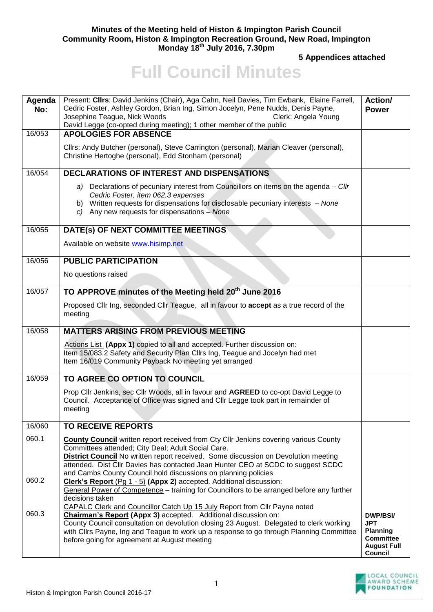## **Minutes of the Meeting held of Histon & Impington Parish Council Community Room, Histon & Impington Recreation Ground, New Road, Impington Monday 18th July 2016, 7.30pm**

**5 Appendices attached** 

## **Full Council Minutes**

| Agenda<br>No: | Present: Cllrs: David Jenkins (Chair), Aga Cahn, Neil Davies, Tim Ewbank, Elaine Farrell,<br>Cedric Foster, Ashley Gordon, Brian Ing, Simon Jocelyn, Pene Nudds, Denis Payne,<br>Josephine Teague, Nick Woods<br>Clerk: Angela Young<br>David Legge (co-opted during meeting); 1 other member of the public                                                                                   | Action/<br><b>Power</b>                                                                               |
|---------------|-----------------------------------------------------------------------------------------------------------------------------------------------------------------------------------------------------------------------------------------------------------------------------------------------------------------------------------------------------------------------------------------------|-------------------------------------------------------------------------------------------------------|
| 16/053        | <b>APOLOGIES FOR ABSENCE</b>                                                                                                                                                                                                                                                                                                                                                                  |                                                                                                       |
|               | Cllrs: Andy Butcher (personal), Steve Carrington (personal), Marian Cleaver (personal),<br>Christine Hertoghe (personal), Edd Stonham (personal)                                                                                                                                                                                                                                              |                                                                                                       |
| 16/054        | <b>DECLARATIONS OF INTEREST AND DISPENSATIONS</b>                                                                                                                                                                                                                                                                                                                                             |                                                                                                       |
|               | a) Declarations of pecuniary interest from Councillors on items on the agenda - Cllr<br>Cedric Foster, item 062.3 expenses<br>b) Written requests for dispensations for disclosable pecuniary interests - None<br>$c)$ Any new requests for dispensations - None                                                                                                                              |                                                                                                       |
| 16/055        | DATE(s) OF NEXT COMMITTEE MEETINGS                                                                                                                                                                                                                                                                                                                                                            |                                                                                                       |
|               | Available on website www.hisimp.net                                                                                                                                                                                                                                                                                                                                                           |                                                                                                       |
| 16/056        | <b>PUBLIC PARTICIPATION</b>                                                                                                                                                                                                                                                                                                                                                                   |                                                                                                       |
|               | No questions raised                                                                                                                                                                                                                                                                                                                                                                           |                                                                                                       |
| 16/057        | TO APPROVE minutes of the Meeting held 20 <sup>th</sup> June 2016                                                                                                                                                                                                                                                                                                                             |                                                                                                       |
|               | Proposed Cllr Ing, seconded Cllr Teague, all in favour to accept as a true record of the<br>meeting                                                                                                                                                                                                                                                                                           |                                                                                                       |
| 16/058        | <b>MATTERS ARISING FROM PREVIOUS MEETING</b>                                                                                                                                                                                                                                                                                                                                                  |                                                                                                       |
|               | Actions List (Appx 1) copied to all and accepted. Further discussion on:<br>Item 15/083.2 Safety and Security Plan Cllrs Ing, Teague and Jocelyn had met<br>Item 16/019 Community Payback No meeting yet arranged                                                                                                                                                                             |                                                                                                       |
| 16/059        | TO AGREE CO OPTION TO COUNCIL                                                                                                                                                                                                                                                                                                                                                                 |                                                                                                       |
|               | Prop Cllr Jenkins, sec Cllr Woods, all in favour and AGREED to co-opt David Legge to<br>Council. Acceptance of Office was signed and Cllr Legge took part in remainder of<br>meeting                                                                                                                                                                                                          |                                                                                                       |
| 16/060        | <b>TO RECEIVE REPORTS</b>                                                                                                                                                                                                                                                                                                                                                                     |                                                                                                       |
| 060.1         | County Council written report received from Cty Cllr Jenkins covering various County<br>Committees attended; City Deal; Adult Social Care.<br><b>District Council</b> No written report received. Some discussion on Devolution meeting<br>attended. Dist Cllr Davies has contacted Jean Hunter CEO at SCDC to suggest SCDC<br>and Cambs County Council hold discussions on planning policies |                                                                                                       |
| 060.2         | Clerk's Report (Pg 1 - 5) (Appx 2) accepted. Additional discussion:<br>General Power of Competence - training for Councillors to be arranged before any further<br>decisions taken                                                                                                                                                                                                            |                                                                                                       |
| 060.3         | CAPALC Clerk and Councillor Catch Up 15 July Report from Cllr Payne noted<br>Chairman's Report (Appx 3) accepted. Additional discussion on:<br>County Council consultation on devolution closing 23 August. Delegated to clerk working<br>with Cllrs Payne, Ing and Teague to work up a response to go through Planning Committee<br>before going for agreement at August meeting             | <b>DWP/BSI/</b><br><b>JPT</b><br><b>Planning</b><br><b>Committee</b><br><b>August Full</b><br>Council |

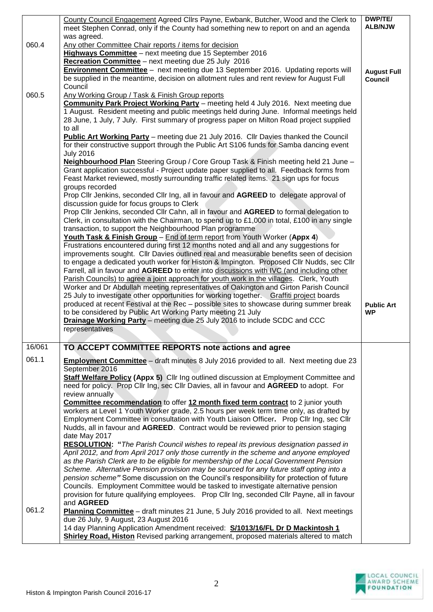| <b>ALB/NJW</b><br>meet Stephen Conrad, only if the County had something new to report on and an agenda<br>was agreed.<br>060.4<br>Any other Committee Chair reports / items for decision<br>Highways Committee - next meeting due 15 September 2016<br>Recreation Committee - next meeting due 25 July 2016<br><b>Environment Committee</b> - next meeting due 13 September 2016. Updating reports will<br><b>August Full</b><br>be supplied in the meantime, decision on allotment rules and rent review for August Full<br><b>Council</b> |
|---------------------------------------------------------------------------------------------------------------------------------------------------------------------------------------------------------------------------------------------------------------------------------------------------------------------------------------------------------------------------------------------------------------------------------------------------------------------------------------------------------------------------------------------|
|                                                                                                                                                                                                                                                                                                                                                                                                                                                                                                                                             |
|                                                                                                                                                                                                                                                                                                                                                                                                                                                                                                                                             |
|                                                                                                                                                                                                                                                                                                                                                                                                                                                                                                                                             |
|                                                                                                                                                                                                                                                                                                                                                                                                                                                                                                                                             |
|                                                                                                                                                                                                                                                                                                                                                                                                                                                                                                                                             |
| Council                                                                                                                                                                                                                                                                                                                                                                                                                                                                                                                                     |
| 060.5<br>Any Working Group / Task & Finish Group reports<br>Community Park Project Working Party - meeting held 4 July 2016. Next meeting due                                                                                                                                                                                                                                                                                                                                                                                               |
| 1 August. Resident meeting and public meetings held during June. Informal meetings held                                                                                                                                                                                                                                                                                                                                                                                                                                                     |
| 28 June, 1 July, 7 July. First summary of progress paper on Milton Road project supplied                                                                                                                                                                                                                                                                                                                                                                                                                                                    |
| to all                                                                                                                                                                                                                                                                                                                                                                                                                                                                                                                                      |
| <b>Public Art Working Party</b> – meeting due 21 July 2016. Cllr Davies thanked the Council<br>for their constructive support through the Public Art S106 funds for Samba dancing event                                                                                                                                                                                                                                                                                                                                                     |
| <b>July 2016</b>                                                                                                                                                                                                                                                                                                                                                                                                                                                                                                                            |
| Neighbourhood Plan Steering Group / Core Group Task & Finish meeting held 21 June -                                                                                                                                                                                                                                                                                                                                                                                                                                                         |
| Grant application successful - Project update paper supplied to all. Feedback forms from                                                                                                                                                                                                                                                                                                                                                                                                                                                    |
| Feast Market reviewed, mostly surrounding traffic related items. 21 sign ups for focus<br>groups recorded                                                                                                                                                                                                                                                                                                                                                                                                                                   |
| Prop Cllr Jenkins, seconded Cllr Ing, all in favour and AGREED to delegate approval of                                                                                                                                                                                                                                                                                                                                                                                                                                                      |
| discussion guide for focus groups to Clerk                                                                                                                                                                                                                                                                                                                                                                                                                                                                                                  |
| Prop Cllr Jenkins, seconded Cllr Cahn, all in favour and AGREED to formal delegation to                                                                                                                                                                                                                                                                                                                                                                                                                                                     |
| Clerk, in consultation with the Chairman, to spend up to £1,000 in total, £100 in any single<br>transaction, to support the Neighbourhood Plan programme                                                                                                                                                                                                                                                                                                                                                                                    |
| Youth Task & Finish Group - End of term report from Youth Worker (Appx 4)                                                                                                                                                                                                                                                                                                                                                                                                                                                                   |
| Frustrations encountered during first 12 months noted and all and any suggestions for                                                                                                                                                                                                                                                                                                                                                                                                                                                       |
| improvements sought. Cllr Davies outlined real and measurable benefits seen of decision                                                                                                                                                                                                                                                                                                                                                                                                                                                     |
| to engage a dedicated youth worker for Histon & Impington. Proposed Cllr Nudds, sec Cllr<br>Farrell, all in favour and AGREED to enter into discussions with IVC (and including other                                                                                                                                                                                                                                                                                                                                                       |
| Parish Councils) to agree a joint approach for youth work in the villages. Clerk, Youth                                                                                                                                                                                                                                                                                                                                                                                                                                                     |
| Worker and Dr Abdullah meeting representatives of Oakington and Girton Parish Council                                                                                                                                                                                                                                                                                                                                                                                                                                                       |
| 25 July to investigate other opportunities for working together. Graffiti project boards                                                                                                                                                                                                                                                                                                                                                                                                                                                    |
| produced at recent Festival at the Rec - possible sites to showcase during summer break<br><b>Public Art</b><br>to be considered by Public Art Working Party meeting 21 July<br><b>WP</b>                                                                                                                                                                                                                                                                                                                                                   |
| Drainage Working Party - meeting due 25 July 2016 to include SCDC and CCC                                                                                                                                                                                                                                                                                                                                                                                                                                                                   |
| representatives                                                                                                                                                                                                                                                                                                                                                                                                                                                                                                                             |
|                                                                                                                                                                                                                                                                                                                                                                                                                                                                                                                                             |
| 16/061<br>TO ACCEPT COMMITTEE REPORTS note actions and agree<br>061.1                                                                                                                                                                                                                                                                                                                                                                                                                                                                       |
| <b>Employment Committee</b> – draft minutes 8 July 2016 provided to all. Next meeting due 23<br>September 2016                                                                                                                                                                                                                                                                                                                                                                                                                              |
| Staff Welfare Policy (Appx 5) Cllr Ing outlined discussion at Employment Committee and                                                                                                                                                                                                                                                                                                                                                                                                                                                      |
| need for policy. Prop Cllr Ing, sec Cllr Davies, all in favour and AGREED to adopt. For                                                                                                                                                                                                                                                                                                                                                                                                                                                     |
| review annually<br><b>Committee recommendation</b> to offer 12 month fixed term contract to 2 junior youth                                                                                                                                                                                                                                                                                                                                                                                                                                  |
| workers at Level 1 Youth Worker grade, 2.5 hours per week term time only, as drafted by                                                                                                                                                                                                                                                                                                                                                                                                                                                     |
| Employment Committee in consultation with Youth Liaison Officer. Prop Cllr Ing, sec Cllr                                                                                                                                                                                                                                                                                                                                                                                                                                                    |
| Nudds, all in favour and AGREED. Contract would be reviewed prior to pension staging                                                                                                                                                                                                                                                                                                                                                                                                                                                        |
| date May 2017<br>RESOLUTION: "The Parish Council wishes to repeal its previous designation passed in                                                                                                                                                                                                                                                                                                                                                                                                                                        |
| April 2012, and from April 2017 only those currently in the scheme and anyone employed                                                                                                                                                                                                                                                                                                                                                                                                                                                      |
| as the Parish Clerk are to be eligible for membership of the Local Government Pension                                                                                                                                                                                                                                                                                                                                                                                                                                                       |
| Scheme. Alternative Pension provision may be sourced for any future staff opting into a                                                                                                                                                                                                                                                                                                                                                                                                                                                     |
| pension scheme" Some discussion on the Council's responsibility for protection of future<br>Councils. Employment Committee would be tasked to investigate alternative pension                                                                                                                                                                                                                                                                                                                                                               |
| provision for future qualifying employees. Prop Cllr Ing, seconded Cllr Payne, all in favour                                                                                                                                                                                                                                                                                                                                                                                                                                                |
| and AGREED                                                                                                                                                                                                                                                                                                                                                                                                                                                                                                                                  |
| 061.2<br>Planning Committee - draft minutes 21 June, 5 July 2016 provided to all. Next meetings                                                                                                                                                                                                                                                                                                                                                                                                                                             |
| due 26 July, 9 August, 23 August 2016<br>14 day Planning Application Amendment received: S/1013/16/FL Dr D Mackintosh 1                                                                                                                                                                                                                                                                                                                                                                                                                     |
| <b>Shirley Road, Histon</b> Revised parking arrangement, proposed materials altered to match                                                                                                                                                                                                                                                                                                                                                                                                                                                |

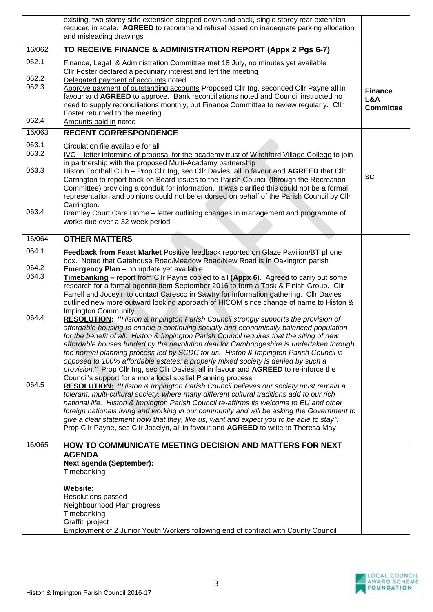|                         | existing, two storey side extension stepped down and back, single storey rear extension<br>reduced in scale. AGREED to recommend refusal based on inadequate parking allocation<br>and misleading drawings                                                                                                                                                                                                                                                                                                                                                                                                                                                                                                 |                         |
|-------------------------|------------------------------------------------------------------------------------------------------------------------------------------------------------------------------------------------------------------------------------------------------------------------------------------------------------------------------------------------------------------------------------------------------------------------------------------------------------------------------------------------------------------------------------------------------------------------------------------------------------------------------------------------------------------------------------------------------------|-------------------------|
| 16/062                  | TO RECEIVE FINANCE & ADMINISTRATION REPORT (Appx 2 Pgs 6-7)                                                                                                                                                                                                                                                                                                                                                                                                                                                                                                                                                                                                                                                |                         |
| 062.1<br>062.2<br>062.3 | Finance, Legal & Administration Committee met 18 July, no minutes yet available<br>CIIr Foster declared a pecuniary interest and left the meeting<br>Delegated payment of accounts noted<br>Approve payment of outstanding accounts Proposed Cllr Ing, seconded Cllr Payne all in                                                                                                                                                                                                                                                                                                                                                                                                                          | <b>Finance</b>          |
| 062.4                   | favour and AGREED to approve. Bank reconciliations noted and Council instructed no<br>need to supply reconciliations monthly, but Finance Committee to review regularly. Cllr<br>Foster returned to the meeting                                                                                                                                                                                                                                                                                                                                                                                                                                                                                            | L&A<br><b>Committee</b> |
| 16/063                  | Amounts paid in noted<br><b>RECENT CORRESPONDENCE</b>                                                                                                                                                                                                                                                                                                                                                                                                                                                                                                                                                                                                                                                      |                         |
| 063.1                   |                                                                                                                                                                                                                                                                                                                                                                                                                                                                                                                                                                                                                                                                                                            |                         |
| 063.2                   | Circulation file available for all<br>IVC – letter informing of proposal for the academy trust of Witchford Village College to join<br>in partnership with the proposed Multi-Academy partnership                                                                                                                                                                                                                                                                                                                                                                                                                                                                                                          |                         |
| 063.3                   | Histon Football Club - Prop Cllr Ing, sec Cllr Davies, all in favour and AGREED that Cllr<br>Carrington to report back on Board issues to the Parish Council (through the Recreation<br>Committee) providing a conduit for information. It was clarified this could not be a formal<br>representation and opinions could not be endorsed on behalf of the Parish Council by Cllr<br>Carrington.                                                                                                                                                                                                                                                                                                            | <b>SC</b>               |
| 063.4                   | Bramley Court Care Home - letter outlining changes in management and programme of<br>works due over a 32 week period                                                                                                                                                                                                                                                                                                                                                                                                                                                                                                                                                                                       |                         |
| 16/064                  | <b>OTHER MATTERS</b>                                                                                                                                                                                                                                                                                                                                                                                                                                                                                                                                                                                                                                                                                       |                         |
| 064.1                   | Feedback from Feast Market Positive feedback reported on Glaze Pavilion/BT phone<br>box. Noted that Gatehouse Road/Meadow Road/New Road is in Oakington parish                                                                                                                                                                                                                                                                                                                                                                                                                                                                                                                                             |                         |
| 064.2<br>064.3          | Emergency Plan - no update yet available                                                                                                                                                                                                                                                                                                                                                                                                                                                                                                                                                                                                                                                                   |                         |
|                         | Timebanking - report from Cllr Payne copied to all (Appx 6). Agreed to carry out some<br>research for a formal agenda item September 2016 to form a Task & Finish Group. Cllr<br>Farrell and Joceyln to contact Caresco in Sawtry for information gathering. Cllr Davies<br>outlined new more outward looking approach of HICOM since change of name to Histon &<br>Impington Community.                                                                                                                                                                                                                                                                                                                   |                         |
| 064.4                   | RESOLUTION: "Histon & Impington Parish Council strongly supports the provision of<br>affordable housing to enable a continuing socially and economically balanced population<br>for the benefit of all. Histon & Impington Parish Council requires that the siting of new<br>affordable houses funded by the devolution deal for Cambridgeshire is undertaken through<br>the normal planning process led by SCDC for us. Histon & Impington Parish Council is<br>opposed to 100% affordable estates: a properly mixed society is denied by such a<br>provision." Prop Cllr Ing, sec Cllr Davies, all in favour and AGREED to re-inforce the<br>Council's support for a more local spatial Planning process |                         |
| 064.5                   | <b>RESOLUTION:</b> "Histon & Impington Parish Council believes our society must remain a<br>tolerant, multi-cultural society, where many different cultural traditions add to our rich<br>national life. Histon & Impington Parish Council re-affirms its welcome to EU and other<br>foreign nationals living and working in our community and will be asking the Government to<br>give a clear statement now that they, like us, want and expect you to be able to stay".<br>Prop Cllr Payne, sec Cllr Jocelyn, all in favour and AGREED to write to Theresa May                                                                                                                                          |                         |
| 16/065                  | HOW TO COMMUNICATE MEETING DECISION AND MATTERS FOR NEXT<br><b>AGENDA</b><br>Next agenda (September):                                                                                                                                                                                                                                                                                                                                                                                                                                                                                                                                                                                                      |                         |
|                         | Timebanking                                                                                                                                                                                                                                                                                                                                                                                                                                                                                                                                                                                                                                                                                                |                         |
|                         | <b>Website:</b>                                                                                                                                                                                                                                                                                                                                                                                                                                                                                                                                                                                                                                                                                            |                         |
|                         | Resolutions passed<br>Neighbourhood Plan progress                                                                                                                                                                                                                                                                                                                                                                                                                                                                                                                                                                                                                                                          |                         |
|                         | Timebanking                                                                                                                                                                                                                                                                                                                                                                                                                                                                                                                                                                                                                                                                                                |                         |
|                         | Graffiti project<br>Employment of 2 Junior Youth Workers following end of contract with County Council                                                                                                                                                                                                                                                                                                                                                                                                                                                                                                                                                                                                     |                         |
|                         |                                                                                                                                                                                                                                                                                                                                                                                                                                                                                                                                                                                                                                                                                                            |                         |